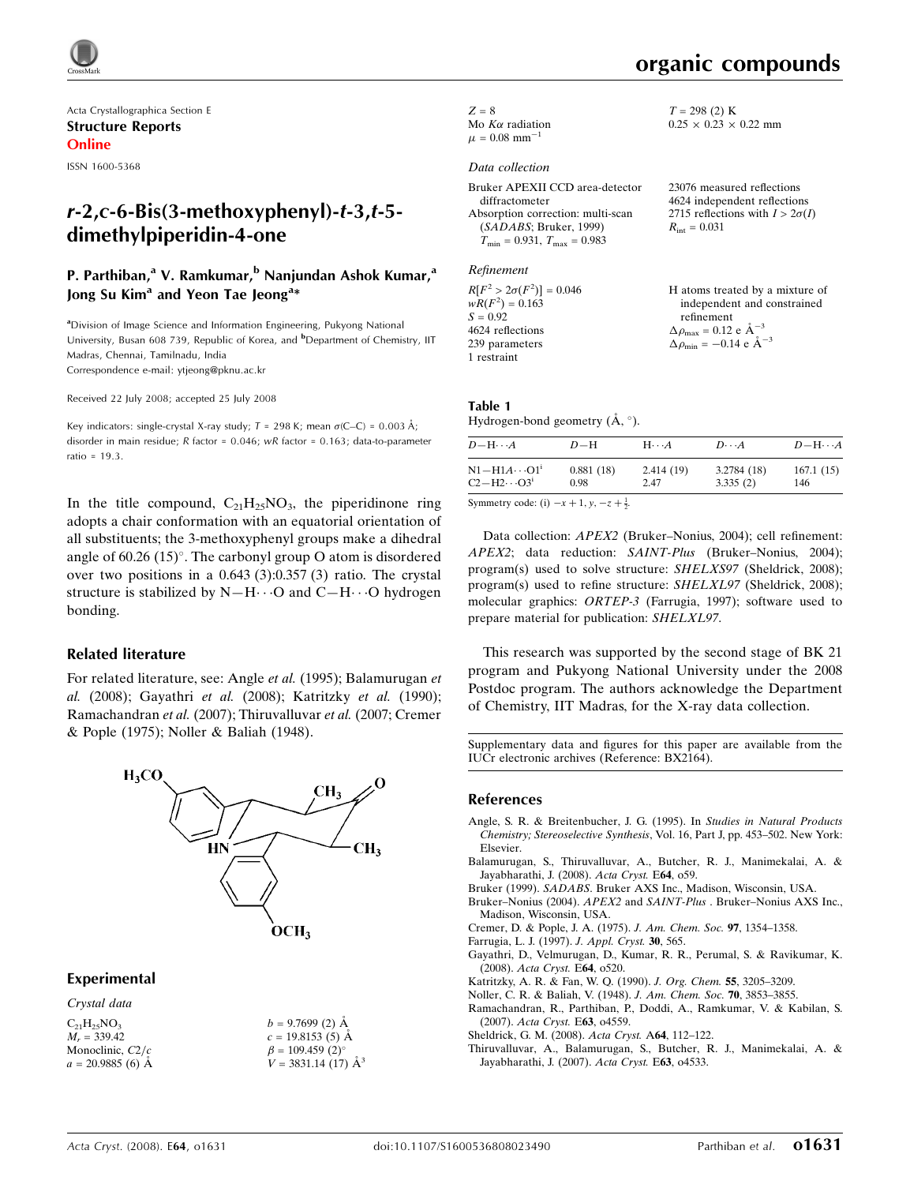

Acta Crystallographica Section E Structure Reports Online

ISSN 1600-5368

# $r-2$ , $c-6$ -Bis(3-methoxyphenyl)- $t-3$ , $t-5$ dimethylpiperidin-4-one

## P. Parthiban,<sup>a</sup> V. Ramkumar,<sup>b</sup> Nanjundan Ashok Kumar,<sup>a</sup> Jong Su Kim<sup>a</sup> and Yeon Tae Jeong<sup>a</sup>\*

<sup>a</sup>Division of Image Science and Information Engineering, Pukyong National University, Busan 608 739, Republic of Korea, and <sup>b</sup>Department of Chemistry, IIT Madras, Chennai, Tamilnadu, India Correspondence e-mail: ytjeong@pknu.ac.kr

Received 22 July 2008; accepted 25 July 2008

Key indicators: single-crystal X-ray study;  $T = 298$  K; mean  $\sigma$ (C–C) = 0.003 Å; disorder in main residue; R factor = 0.046; wR factor = 0.163; data-to-parameter ratio = 19.3.

In the title compound,  $C_{21}H_{25}NO_3$ , the piperidinone ring adopts a chair conformation with an equatorial orientation of all substituents; the 3-methoxyphenyl groups make a dihedral angle of  $60.26$  (15)°. The carbonyl group O atom is disordered over two positions in a 0.643 (3):0.357 (3) ratio. The crystal structure is stabilized by  $N-H\cdots O$  and  $C-H\cdots O$  hydrogen bonding.

### Related literature

For related literature, see: Angle et al. (1995); Balamurugan et al. (2008); Gayathri et al. (2008); Katritzky et al. (1990); Ramachandran et al. (2007); Thiruvalluvar et al. (2007; Cremer & Pople (1975); Noller & Baliah (1948).



 $b = 9.7699(2)$  Å  $c = 19.8153(5)$  Å  $\beta = 109.459$  (2)<sup>o</sup>  $V = 3831.14(17)$   $\mathring{A}^3$ 

### Experimental

Crystal data

| $C_{21}H_{25}NO_3$ |  |
|--------------------|--|
| $M_r = 339.42$     |  |
| Monoclinic, $C2/c$ |  |
| $a = 20.9885(6)$ Å |  |

 $Z = 8$ Mo  $K\alpha$  radiation  $\mu = 0.08$  mm<sup>-</sup>

### Data collection

| Bruker APEXII CCD area-detector                  | 23076 measured reflections             |
|--------------------------------------------------|----------------------------------------|
| diffractometer                                   | 4624 independent reflections           |
| Absorption correction: multi-scan                | 2715 reflections with $I > 2\sigma(I)$ |
| (SADABS; Bruker, 1999)                           | $R_{\text{int}} = 0.031$               |
| $T_{\text{min}} = 0.931, T_{\text{max}} = 0.983$ |                                        |
|                                                  |                                        |

#### Refinement

 $R[F^2 > 2\sigma(F^2)] = 0.046$  $wR(F^2) = 0.163$  $S = 0.92$ 4624 reflections 239 parameters 1 restraint

H atoms treated by a mixture of independent and constrained refinement  $\Delta\rho_\text{max} = 0.12$ e Å $^{-3}$  $\Delta \rho_{\text{min}} = -0.14 \text{ e } \text{\AA}^{-3}$ 

### Table 1

Hydrogen-bond geometry  $(\mathring{A}, \degree)$ .

| $D - H \cdots A$                                                             | $D-H$             | $H \cdot \cdot \cdot A$ | $D\cdots A$             | $D - H \cdots A$ |
|------------------------------------------------------------------------------|-------------------|-------------------------|-------------------------|------------------|
| $N1 - H1A \cdots 01$<br>$C2-H2\cdots O31$                                    | 0.881(18)<br>0.98 | 2.414(19)<br>2.47       | 3.2784 (18)<br>3.335(2) | 167.1(15)<br>146 |
| $\alpha$ . The set of $\alpha$ is the set of $\alpha$ is the set of $\alpha$ |                   |                         |                         |                  |

Symmetry code: (i)  $-x + 1$ ,  $y$ ,  $-z + \frac{1}{2}$ .

Data collection: APEX2 (Bruker–Nonius, 2004); cell refinement: APEX2; data reduction: SAINT-Plus (Bruker–Nonius, 2004); program(s) used to solve structure: SHELXS97 (Sheldrick, 2008); program(s) used to refine structure: SHELXL97 (Sheldrick, 2008); molecular graphics: ORTEP-3 (Farrugia, 1997); software used to prepare material for publication: SHELXL97.

This research was supported by the second stage of BK 21 program and Pukyong National University under the 2008 Postdoc program. The authors acknowledge the Department of Chemistry, IIT Madras, for the X-ray data collection.

Supplementary data and figures for this paper are available from the IUCr electronic archives (Reference: BX2164).

#### References

- Angle, S. R. & Breitenbucher, J. G. (1995). In Studies in Natural Products Chemistry; Stereoselective Synthesis, Vol. 16, Part J, pp. 453–502. New York: Elsevier.
- Balamurugan, S., Thiruvalluvar, A., Butcher, R. J., Manimekalai, A. & Jayabharathi, J. (2008). Acta Cryst. E64, o59.
- Bruker (1999). SADABS. Bruker AXS Inc., Madison, Wisconsin, USA.
- Bruker–Nonius (2004). APEX2 and SAINT-Plus . Bruker–Nonius AXS Inc., Madison, Wisconsin, USA.
- Cremer, D. & Pople, J. A. (1975). J. Am. Chem. Soc. 97, 1354–1358.
- Farrugia, L. J. (1997). J. Appl. Cryst. 30, 565.
- Gayathri, D., Velmurugan, D., Kumar, R. R., Perumal, S. & Ravikumar, K. (2008). Acta Cryst. E64, o520.
- Katritzky, A. R. & Fan, W. Q. (1990). J. Org. Chem. 55, 3205–3209.
- Noller, C. R. & Baliah, V. (1948). J. Am. Chem. Soc. 70, 3853–3855.
- Ramachandran, R., Parthiban, P., Doddi, A., Ramkumar, V. & Kabilan, S. (2007). Acta Cryst. E63, o4559.
- Sheldrick, G. M. (2008). Acta Cryst. A64, 112–122.
- Thiruvalluvar, A., Balamurugan, S., Butcher, R. J., Manimekalai, A. & Jayabharathi, J. (2007). Acta Cryst. E63, o4533.

 $T = 298$  (2) K  $0.25 \times 0.23 \times 0.22$  mm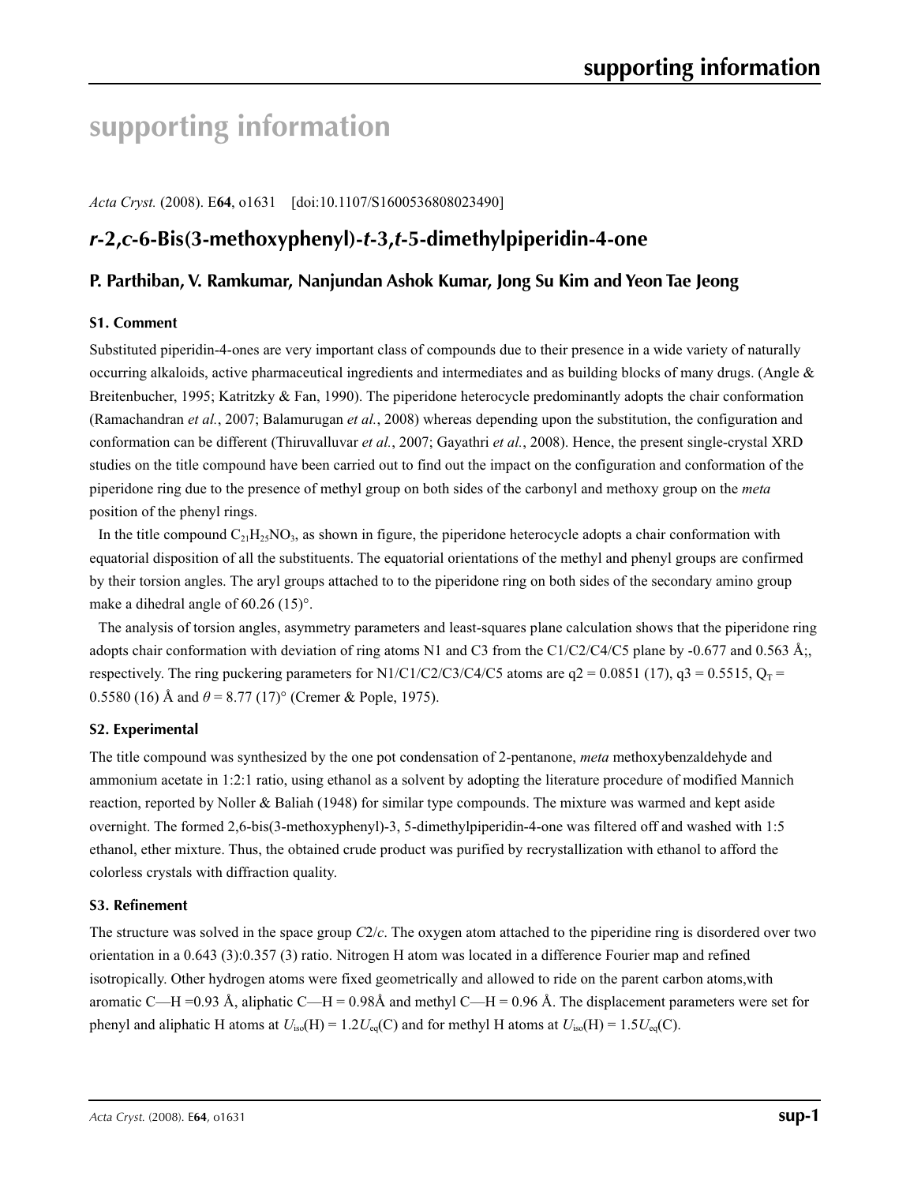# **supporting information**

*Acta Cryst.* (2008). E**64**, o1631 [doi:10.1107/S1600536808023490]

# *r***-2,***c***-6-Bis(3-methoxyphenyl)-***t***-3,***t***-5-dimethylpiperidin-4-one**

### **P. Parthiban, V. Ramkumar, Nanjundan Ashok Kumar, Jong Su Kim and Yeon Tae Jeong**

### **S1. Comment**

Substituted piperidin-4-ones are very important class of compounds due to their presence in a wide variety of naturally occurring alkaloids, active pharmaceutical ingredients and intermediates and as building blocks of many drugs. (Angle  $\&$ Breitenbucher, 1995; Katritzky & Fan, 1990). The piperidone heterocycle predominantly adopts the chair conformation (Ramachandran *et al.*, 2007; Balamurugan *et al.*, 2008) whereas depending upon the substitution, the configuration and conformation can be different (Thiruvalluvar *et al.*, 2007; Gayathri *et al.*, 2008). Hence, the present single-crystal XRD studies on the title compound have been carried out to find out the impact on the configuration and conformation of the piperidone ring due to the presence of methyl group on both sides of the carbonyl and methoxy group on the *meta* position of the phenyl rings.

In the title compound  $C_{21}H_{25}NO_3$ , as shown in figure, the piperidone heterocycle adopts a chair conformation with equatorial disposition of all the substituents. The equatorial orientations of the methyl and phenyl groups are confirmed by their torsion angles. The aryl groups attached to to the piperidone ring on both sides of the secondary amino group make a dihedral angle of 60.26 (15)°.

The analysis of torsion angles, asymmetry parameters and least-squares plane calculation shows that the piperidone ring adopts chair conformation with deviation of ring atoms N1 and C3 from the C1/C2/C4/C5 plane by -0.677 and 0.563 Å; respectively. The ring puckering parameters for N1/C1/C2/C3/C4/C5 atoms are  $q2 = 0.0851$  (17),  $q3 = 0.5515$ ,  $Q_T =$ 0.5580 (16) Å and  $\theta$  = 8.77 (17)° (Cremer & Pople, 1975).

### **S2. Experimental**

The title compound was synthesized by the one pot condensation of 2-pentanone, *meta* methoxybenzaldehyde and ammonium acetate in 1:2:1 ratio, using ethanol as a solvent by adopting the literature procedure of modified Mannich reaction, reported by Noller & Baliah (1948) for similar type compounds. The mixture was warmed and kept aside overnight. The formed 2,6-bis(3-methoxyphenyl)-3, 5-dimethylpiperidin-4-one was filtered off and washed with 1:5 ethanol, ether mixture. Thus, the obtained crude product was purified by recrystallization with ethanol to afford the colorless crystals with diffraction quality.

### **S3. Refinement**

The structure was solved in the space group *C*2/*c*. The oxygen atom attached to the piperidine ring is disordered over two orientation in a 0.643 (3):0.357 (3) ratio. Nitrogen H atom was located in a difference Fourier map and refined isotropically. Other hydrogen atoms were fixed geometrically and allowed to ride on the parent carbon atoms,with aromatic C—H =0.93 Å, aliphatic C—H = 0.98Å and methyl C—H = 0.96 Å. The displacement parameters were set for phenyl and aliphatic H atoms at  $U_{iso}(H) = 1.2U_{eq}(C)$  and for methyl H atoms at  $U_{iso}(H) = 1.5U_{eq}(C)$ .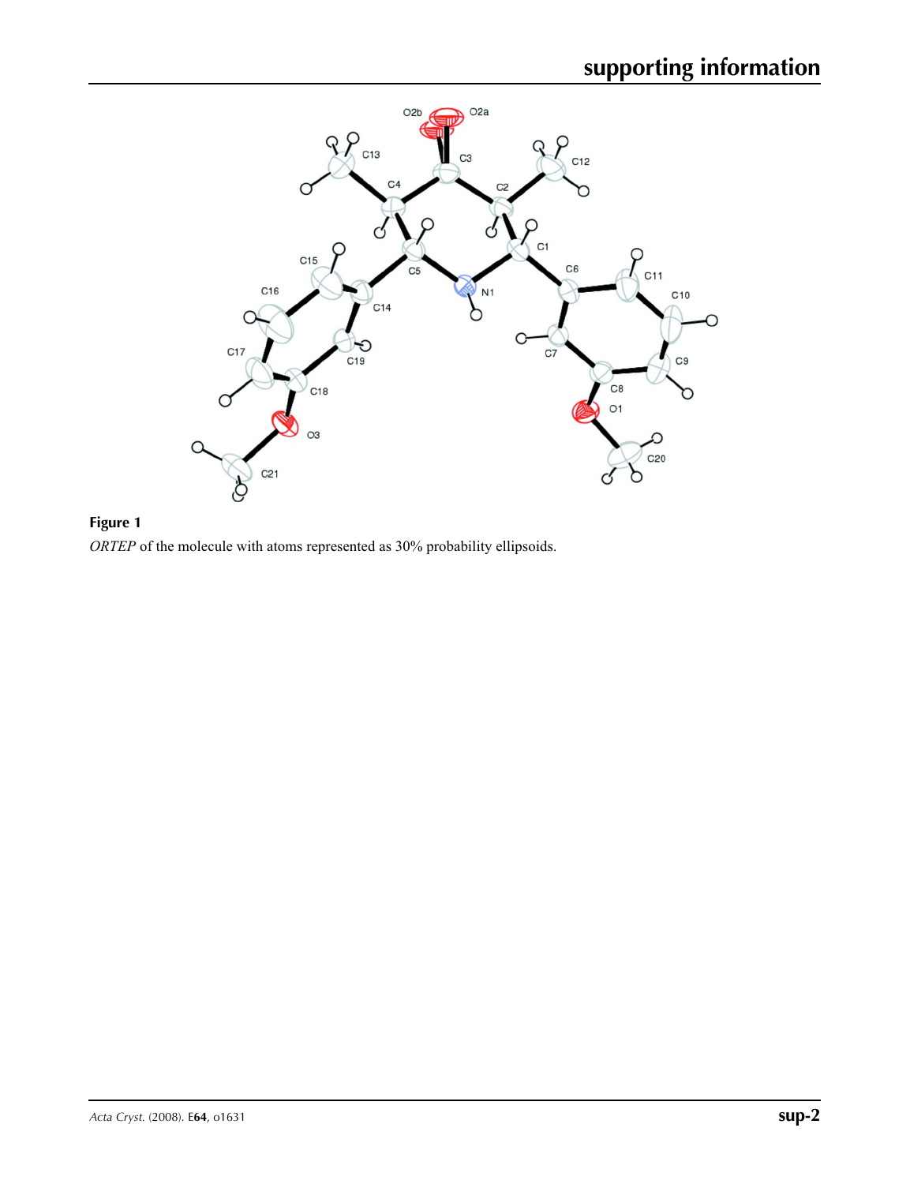

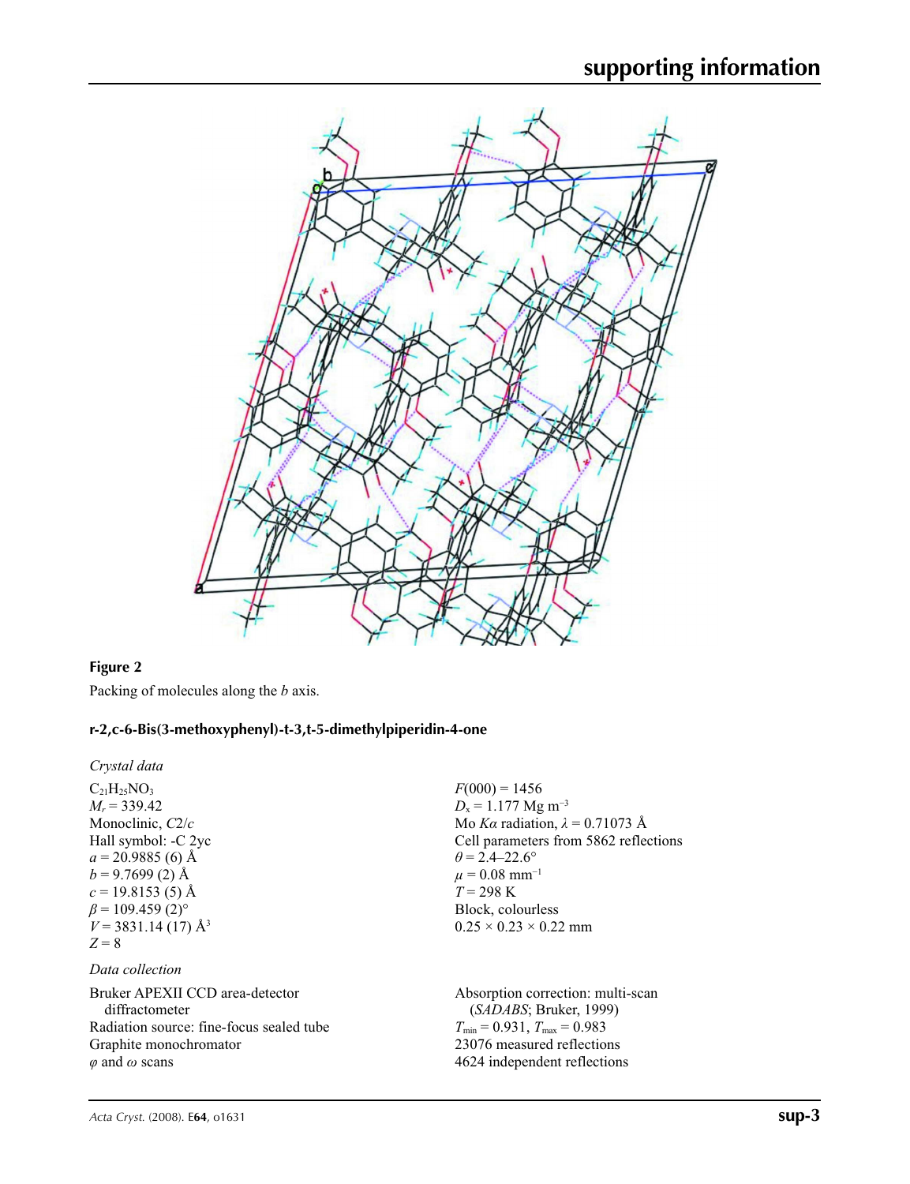

### **Figure 2**

Packing of molecules along the *b* axis.

### **r-2,c-6-Bis(3-methoxyphenyl)-t-3,t-5-dimethylpiperidin-4-one**

*Crystal data*  $C_{21}H_{25}NO_3$  $M_r$  = 339.42 Monoclinic, *C*2/*c* Hall symbol: -C 2yc  $a = 20.9885(6)$  Å  $b = 9.7699(2)$  Å  $c = 19.8153(5)$  Å  $\beta$  = 109.459 (2)<sup>o</sup>  $V = 3831.14(17)$  Å<sup>3</sup>  $Z = 8$ 

### *Data collection*

Bruker APEXII CCD area-detector diffractometer Radiation source: fine-focus sealed tube Graphite monochromator *φ* and *ω* scans

 $F(000) = 1456$  $D_x = 1.177$  Mg m<sup>-3</sup> Mo *Kα* radiation, *λ* = 0.71073 Å Cell parameters from 5862 reflections  $\theta$  = 2.4–22.6°  $\mu = 0.08$  mm<sup>-1</sup>  $T = 298 \text{ K}$ Block, colourless  $0.25 \times 0.23 \times 0.22$  mm

Absorption correction: multi-scan (*SADABS*; Bruker, 1999)  $T_{\text{min}} = 0.931, T_{\text{max}} = 0.983$ 23076 measured reflections 4624 independent reflections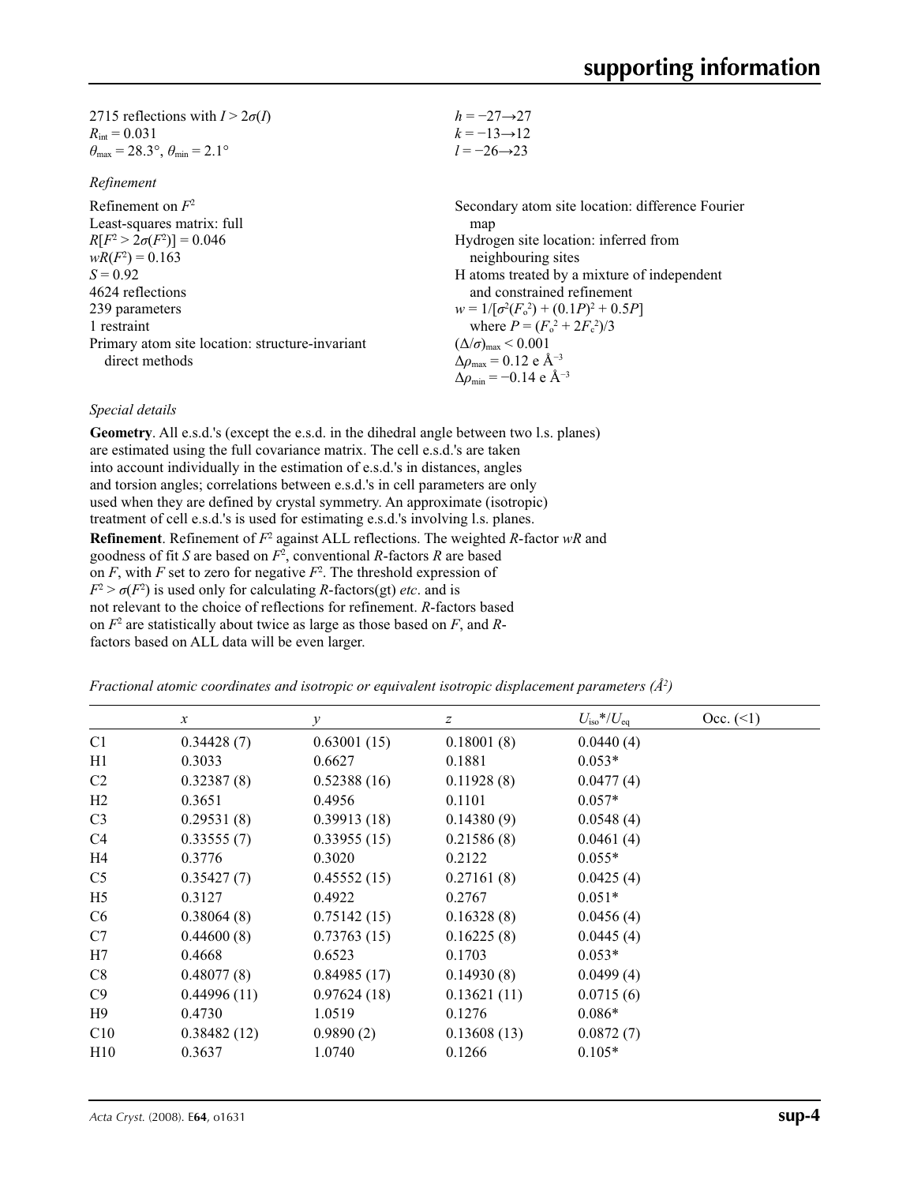| 2715 reflections with $I > 2\sigma(I)$                                  | $h = -27 \rightarrow 27$ |
|-------------------------------------------------------------------------|--------------------------|
| $R_{\rm int} = 0.031$                                                   | $k = -13 \rightarrow 12$ |
| $\theta_{\text{max}} = 28.3^{\circ}, \theta_{\text{min}} = 2.1^{\circ}$ | $l = -26 \rightarrow 23$ |

| Refinement |
|------------|
|------------|

| Refinement on $F^2$                             | Secondary atom site location: difference Fourier             |
|-------------------------------------------------|--------------------------------------------------------------|
| Least-squares matrix: full                      | map                                                          |
| $R[F^2 > 2\sigma(F^2)] = 0.046$                 | Hydrogen site location: inferred from                        |
| $wR(F^2) = 0.163$                               | neighbouring sites                                           |
| $S = 0.92$                                      | H atoms treated by a mixture of independent                  |
| 4624 reflections                                | and constrained refinement                                   |
| 239 parameters                                  | $w = 1/[\sigma^2(F_0^2) + (0.1P)^2 + 0.5P]$                  |
| 1 restraint                                     | where $P = (F_o^2 + 2F_c^2)/3$                               |
| Primary atom site location: structure-invariant | $(\Delta/\sigma)_{\text{max}}$ < 0.001                       |
| direct methods                                  | $\Delta \rho_{\text{max}} = 0.12 \text{ e } \text{\AA}^{-3}$ |
|                                                 | $\Delta \rho_{\rm min} = -0.14 \text{ e A}^{-3}$             |
|                                                 |                                                              |

### *Special details*

**Geometry**. All e.s.d.'s (except the e.s.d. in the dihedral angle between two l.s. planes) are estimated using the full covariance matrix. The cell e.s.d.'s are taken into account individually in the estimation of e.s.d.'s in distances, angles and torsion angles; correlations between e.s.d.'s in cell parameters are only used when they are defined by crystal symmetry. An approximate (isotropic) treatment of cell e.s.d.'s is used for estimating e.s.d.'s involving l.s. planes. **Refinement**. Refinement of  $F^2$  against ALL reflections. The weighted *R*-factor wR and goodness of fit *S* are based on *F*<sup>2</sup> , conventional *R*-factors *R* are based on  $F$ , with  $F$  set to zero for negative  $F^2$ . The threshold expression of  $F^2 > \sigma(F^2)$  is used only for calculating *R*-factors(gt) *etc*. and is not relevant to the choice of reflections for refinement. *R*-factors based on *F*<sup>2</sup> are statistically about twice as large as those based on *F*, and *R*factors based on ALL data will be even larger.

*Fractional atomic coordinates and isotropic or equivalent isotropic displacement parameters (Å<sup>2</sup>)* 

|                | $\boldsymbol{x}$ | $\mathcal V$ | z           | $U_{\rm iso}*/U_{\rm eq}$ | Occ. (2) |
|----------------|------------------|--------------|-------------|---------------------------|----------|
| C1             | 0.34428(7)       | 0.63001(15)  | 0.18001(8)  | 0.0440(4)                 |          |
| H1             | 0.3033           | 0.6627       | 0.1881      | $0.053*$                  |          |
| C <sub>2</sub> | 0.32387(8)       | 0.52388(16)  | 0.11928(8)  | 0.0477(4)                 |          |
| H2             | 0.3651           | 0.4956       | 0.1101      | $0.057*$                  |          |
| C <sub>3</sub> | 0.29531(8)       | 0.39913(18)  | 0.14380(9)  | 0.0548(4)                 |          |
| C4             | 0.33555(7)       | 0.33955(15)  | 0.21586(8)  | 0.0461(4)                 |          |
| H4             | 0.3776           | 0.3020       | 0.2122      | $0.055*$                  |          |
| C <sub>5</sub> | 0.35427(7)       | 0.45552(15)  | 0.27161(8)  | 0.0425(4)                 |          |
| H <sub>5</sub> | 0.3127           | 0.4922       | 0.2767      | $0.051*$                  |          |
| C6             | 0.38064(8)       | 0.75142(15)  | 0.16328(8)  | 0.0456(4)                 |          |
| C7             | 0.44600(8)       | 0.73763(15)  | 0.16225(8)  | 0.0445(4)                 |          |
| H7             | 0.4668           | 0.6523       | 0.1703      | $0.053*$                  |          |
| C8             | 0.48077(8)       | 0.84985(17)  | 0.14930(8)  | 0.0499(4)                 |          |
| C9             | 0.44996(11)      | 0.97624(18)  | 0.13621(11) | 0.0715(6)                 |          |
| H9             | 0.4730           | 1.0519       | 0.1276      | $0.086*$                  |          |
| C10            | 0.38482(12)      | 0.9890(2)    | 0.13608(13) | 0.0872(7)                 |          |
| H10            | 0.3637           | 1.0740       | 0.1266      | $0.105*$                  |          |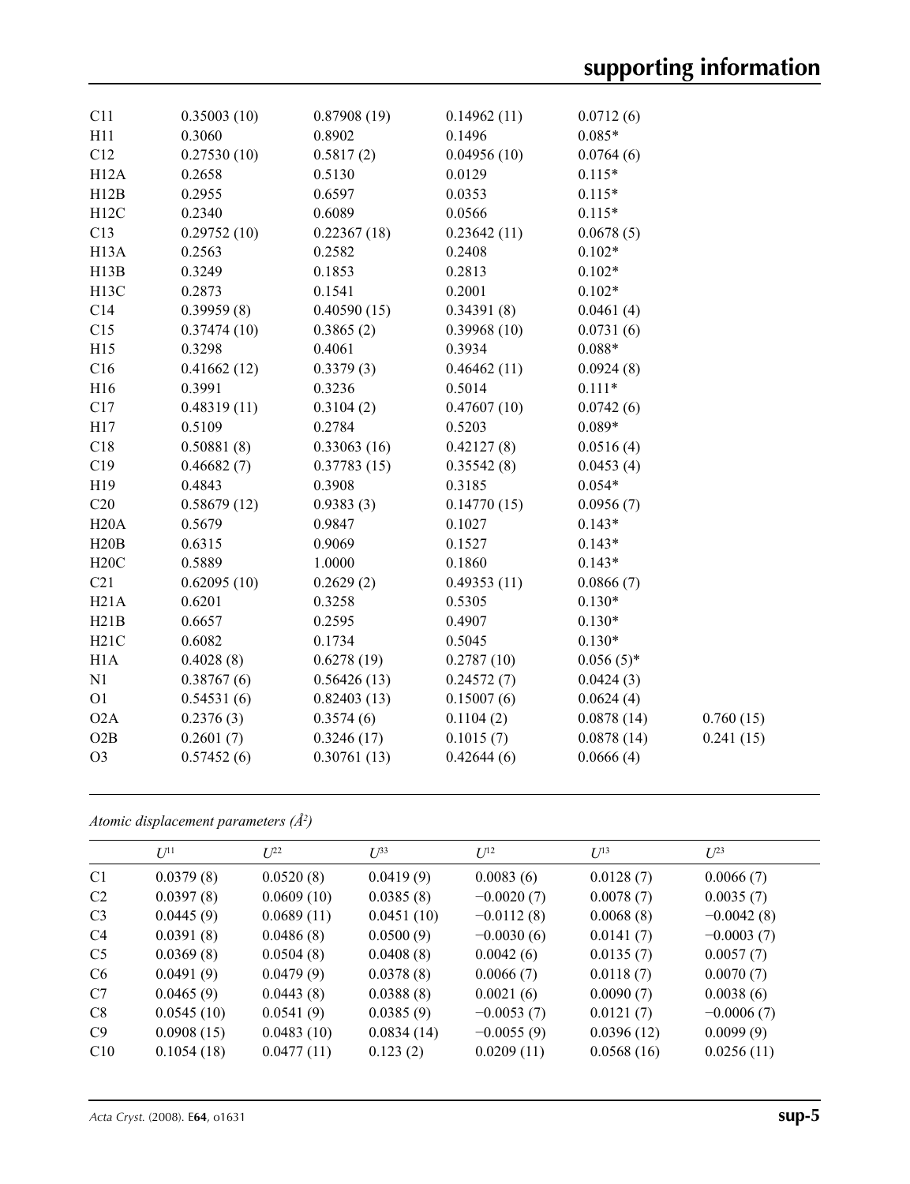| C11               | 0.35003(10) | 0.87908(19) | 0.14962(11) | 0.0712(6)    |           |
|-------------------|-------------|-------------|-------------|--------------|-----------|
| H11               | 0.3060      | 0.8902      | 0.1496      | $0.085*$     |           |
| C12               | 0.27530(10) | 0.5817(2)   | 0.04956(10) | 0.0764(6)    |           |
| H12A              | 0.2658      | 0.5130      | 0.0129      | $0.115*$     |           |
| H12B              | 0.2955      | 0.6597      | 0.0353      | $0.115*$     |           |
| H12C              | 0.2340      | 0.6089      | 0.0566      | $0.115*$     |           |
| C13               | 0.29752(10) | 0.22367(18) | 0.23642(11) | 0.0678(5)    |           |
| H <sub>13</sub> A | 0.2563      | 0.2582      | 0.2408      | $0.102*$     |           |
| H13B              | 0.3249      | 0.1853      | 0.2813      | $0.102*$     |           |
| H <sub>13</sub> C | 0.2873      | 0.1541      | 0.2001      | $0.102*$     |           |
| C14               | 0.39959(8)  | 0.40590(15) | 0.34391(8)  | 0.0461(4)    |           |
| C15               | 0.37474(10) | 0.3865(2)   | 0.39968(10) | 0.0731(6)    |           |
| H15               | 0.3298      | 0.4061      | 0.3934      | $0.088*$     |           |
| C16               | 0.41662(12) | 0.3379(3)   | 0.46462(11) | 0.0924(8)    |           |
| H16               | 0.3991      | 0.3236      | 0.5014      | $0.111*$     |           |
| C17               | 0.48319(11) | 0.3104(2)   | 0.47607(10) | 0.0742(6)    |           |
| H17               | 0.5109      | 0.2784      | 0.5203      | $0.089*$     |           |
| C18               | 0.50881(8)  | 0.33063(16) | 0.42127(8)  | 0.0516(4)    |           |
| C19               | 0.46682(7)  | 0.37783(15) | 0.35542(8)  | 0.0453(4)    |           |
| H19               | 0.4843      | 0.3908      | 0.3185      | $0.054*$     |           |
| C20               | 0.58679(12) | 0.9383(3)   | 0.14770(15) | 0.0956(7)    |           |
| H20A              | 0.5679      | 0.9847      | 0.1027      | $0.143*$     |           |
| H20B              | 0.6315      | 0.9069      | 0.1527      | $0.143*$     |           |
| H20C              | 0.5889      | 1.0000      | 0.1860      | $0.143*$     |           |
| C21               | 0.62095(10) | 0.2629(2)   | 0.49353(11) | 0.0866(7)    |           |
| H21A              | 0.6201      | 0.3258      | 0.5305      | $0.130*$     |           |
| H21B              | 0.6657      | 0.2595      | 0.4907      | $0.130*$     |           |
| H21C              | 0.6082      | 0.1734      | 0.5045      | $0.130*$     |           |
| H1A               | 0.4028(8)   | 0.6278(19)  | 0.2787(10)  | $0.056(5)$ * |           |
| N1                | 0.38767(6)  | 0.56426(13) | 0.24572(7)  | 0.0424(3)    |           |
| O <sub>1</sub>    | 0.54531(6)  | 0.82403(13) | 0.15007(6)  | 0.0624(4)    |           |
| O2A               | 0.2376(3)   | 0.3574(6)   | 0.1104(2)   | 0.0878(14)   | 0.760(15) |
| O2B               | 0.2601(7)   | 0.3246(17)  | 0.1015(7)   | 0.0878(14)   | 0.241(15) |
| O <sub>3</sub>    | 0.57452(6)  | 0.30761(13) | 0.42644(6)  | 0.0666(4)    |           |
|                   |             |             |             |              |           |

| Atomic displacement parameters $(\AA^2)$ |  |
|------------------------------------------|--|
|                                          |  |

|                | $U^{11}$   | $L^{22}$   | $U^{\beta 3}$ | $U^{12}$     | $U^{13}$   | $L^{23}$     |
|----------------|------------|------------|---------------|--------------|------------|--------------|
| C <sub>1</sub> | 0.0379(8)  | 0.0520(8)  | 0.0419(9)     | 0.0083(6)    | 0.0128(7)  | 0.0066(7)    |
| C <sub>2</sub> | 0.0397(8)  | 0.0609(10) | 0.0385(8)     | $-0.0020(7)$ | 0.0078(7)  | 0.0035(7)    |
| C <sub>3</sub> | 0.0445(9)  | 0.0689(11) | 0.0451(10)    | $-0.0112(8)$ | 0.0068(8)  | $-0.0042(8)$ |
| C <sub>4</sub> | 0.0391(8)  | 0.0486(8)  | 0.0500(9)     | $-0.0030(6)$ | 0.0141(7)  | $-0.0003(7)$ |
| C <sub>5</sub> | 0.0369(8)  | 0.0504(8)  | 0.0408(8)     | 0.0042(6)    | 0.0135(7)  | 0.0057(7)    |
| C <sub>6</sub> | 0.0491(9)  | 0.0479(9)  | 0.0378(8)     | 0.0066(7)    | 0.0118(7)  | 0.0070(7)    |
| C7             | 0.0465(9)  | 0.0443(8)  | 0.0388(8)     | 0.0021(6)    | 0.0090(7)  | 0.0038(6)    |
| C8             | 0.0545(10) | 0.0541(9)  | 0.0385(9)     | $-0.0053(7)$ | 0.0121(7)  | $-0.0006(7)$ |
| C9             | 0.0908(15) | 0.0483(10) | 0.0834(14)    | $-0.0055(9)$ | 0.0396(12) | 0.0099(9)    |
| C10            | 0.1054(18) | 0.0477(11) | 0.123(2)      | 0.0209(11)   | 0.0568(16) | 0.0256(11)   |
|                |            |            |               |              |            |              |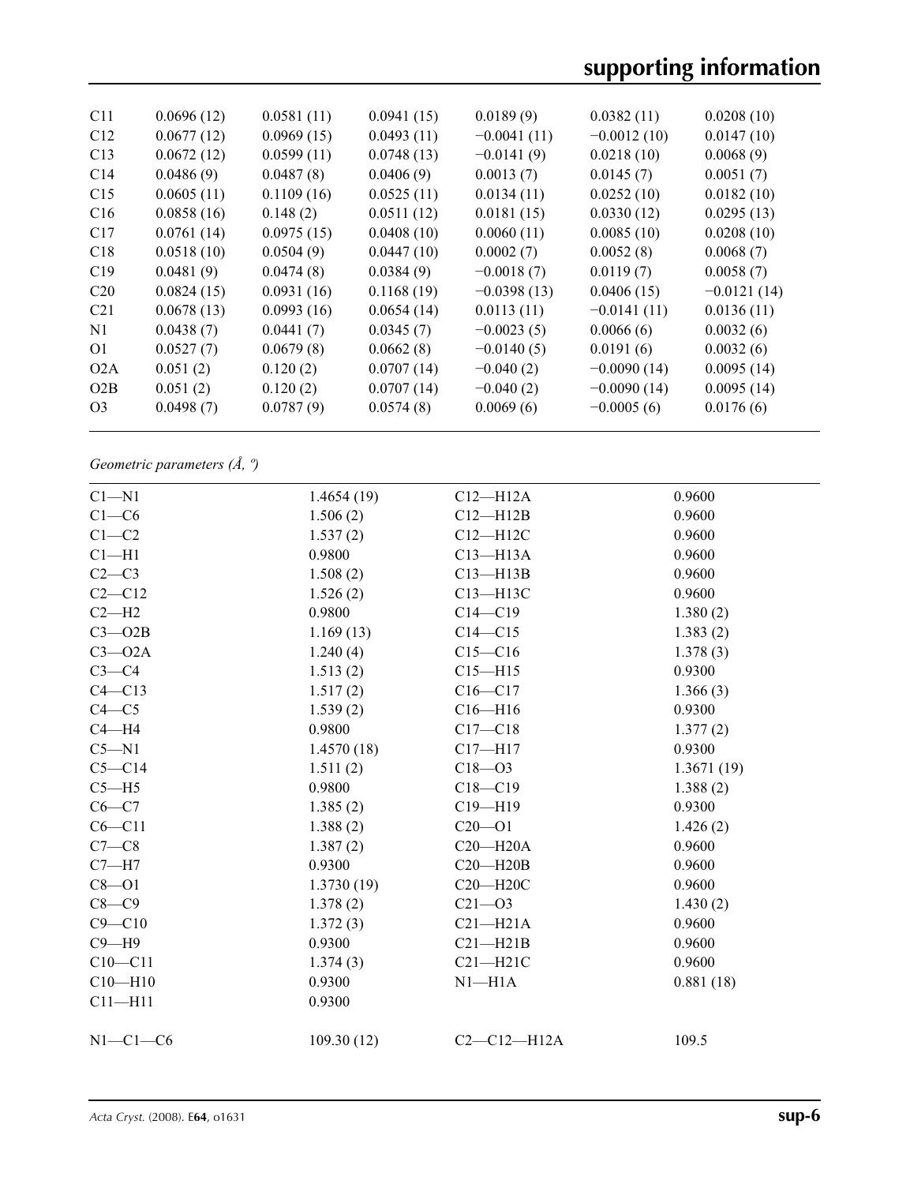| C <sub>11</sub> | 0.0696(12) | 0.0581(11) | 0.0941(15) | 0.0189(9)     | 0.0382(11)    | 0.0208(10)    |
|-----------------|------------|------------|------------|---------------|---------------|---------------|
| C12             | 0.0677(12) | 0.0969(15) | 0.0493(11) | $-0.0041(11)$ | $-0.0012(10)$ | 0.0147(10)    |
| C13             | 0.0672(12) | 0.0599(11) | 0.0748(13) | $-0.0141(9)$  | 0.0218(10)    | 0.0068(9)     |
| C <sub>14</sub> | 0.0486(9)  | 0.0487(8)  | 0.0406(9)  | 0.0013(7)     | 0.0145(7)     | 0.0051(7)     |
| C15             | 0.0605(11) | 0.1109(16) | 0.0525(11) | 0.0134(11)    | 0.0252(10)    | 0.0182(10)    |
| C16             | 0.0858(16) | 0.148(2)   | 0.0511(12) | 0.0181(15)    | 0.0330(12)    | 0.0295(13)    |
| C17             | 0.0761(14) | 0.0975(15) | 0.0408(10) | 0.0060(11)    | 0.0085(10)    | 0.0208(10)    |
| C18             | 0.0518(10) | 0.0504(9)  | 0.0447(10) | 0.0002(7)     | 0.0052(8)     | 0.0068(7)     |
| C19             | 0.0481(9)  | 0.0474(8)  | 0.0384(9)  | $-0.0018(7)$  | 0.0119(7)     | 0.0058(7)     |
| C <sub>20</sub> | 0.0824(15) | 0.0931(16) | 0.1168(19) | $-0.0398(13)$ | 0.0406(15)    | $-0.0121(14)$ |
| C <sub>21</sub> | 0.0678(13) | 0.0993(16) | 0.0654(14) | 0.0113(11)    | $-0.0141(11)$ | 0.0136(11)    |
| N1              | 0.0438(7)  | 0.0441(7)  | 0.0345(7)  | $-0.0023(5)$  | 0.0066(6)     | 0.0032(6)     |
| O <sub>1</sub>  | 0.0527(7)  | 0.0679(8)  | 0.0662(8)  | $-0.0140(5)$  | 0.0191(6)     | 0.0032(6)     |
| O2A             | 0.051(2)   | 0.120(2)   | 0.0707(14) | $-0.040(2)$   | $-0.0090(14)$ | 0.0095(14)    |
| O2B             | 0.051(2)   | 0.120(2)   | 0.0707(14) | $-0.040(2)$   | $-0.0090(14)$ | 0.0095(14)    |
| O <sub>3</sub>  | 0.0498(7)  | 0.0787(9)  | 0.0574(8)  | 0.0069(6)     | $-0.0005(6)$  | 0.0176(6)     |
|                 |            |            |            |               |               |               |

*Geometric parameters (Å, º)*

| $C1 - N1$   | 1.4654(19) | $C12 - H12A$  | 0.9600     |
|-------------|------------|---------------|------------|
| $C1-C6$     | 1.506(2)   | $C12 - H12B$  | 0.9600     |
| $C1-C2$     | 1.537(2)   | $C12 - H12C$  | 0.9600     |
| $C1 - H1$   | 0.9800     | $C13 - H13A$  | 0.9600     |
| $C2-C3$     | 1.508(2)   | $C13 - H13B$  | 0.9600     |
| $C2-C12$    | 1.526(2)   | C13-H13C      | 0.9600     |
| $C2-H2$     | 0.9800     | $C14 - C19$   | 1.380(2)   |
| $C3 - O2B$  | 1.169(13)  | $C14 - C15$   | 1.383(2)   |
| $C3 - O2A$  | 1.240(4)   | $C15 - C16$   | 1.378(3)   |
| $C3-C4$     | 1.513(2)   | $C15 - H15$   | 0.9300     |
| $C4 - C13$  | 1.517(2)   | $C16 - C17$   | 1.366(3)   |
| $C4 - C5$   | 1.539(2)   | $C16 - H16$   | 0.9300     |
| $C4 - H4$   | 0.9800     | $C17 - C18$   | 1.377(2)   |
| $C5 - N1$   | 1.4570(18) | $C17 - H17$   | 0.9300     |
| $C5 - C14$  | 1.511(2)   | $C18 - 03$    | 1.3671(19) |
| $C5 - H5$   | 0.9800     | $C18 - C19$   | 1.388(2)   |
| $C6-C7$     | 1.385(2)   | $C19 - H19$   | 0.9300     |
| $C6 - C11$  | 1.388(2)   | $C20 - 01$    | 1.426(2)   |
| $C7-C8$     | 1.387(2)   | $C20 - H20A$  | 0.9600     |
| $C7 - H7$   | 0.9300     | $C20 - H20B$  | 0.9600     |
| $C8 - O1$   | 1.3730(19) | $C20 - H20C$  | 0.9600     |
| $C8-C9$     | 1.378(2)   | $C21 - 03$    | 1.430(2)   |
| $C9 - C10$  | 1.372(3)   | $C21 - H21A$  | 0.9600     |
| $C9 - H9$   | 0.9300     | $C21 - H21B$  | 0.9600     |
| $C10 - C11$ | 1.374(3)   | $C21 - H21C$  | 0.9600     |
| $C10 - H10$ | 0.9300     | $N1 - H1A$    | 0.881(18)  |
| $C11 - H11$ | 0.9300     |               |            |
| $N1-C1-C6$  | 109.30(12) | $C2-C12-H12A$ | 109.5      |
|             |            |               |            |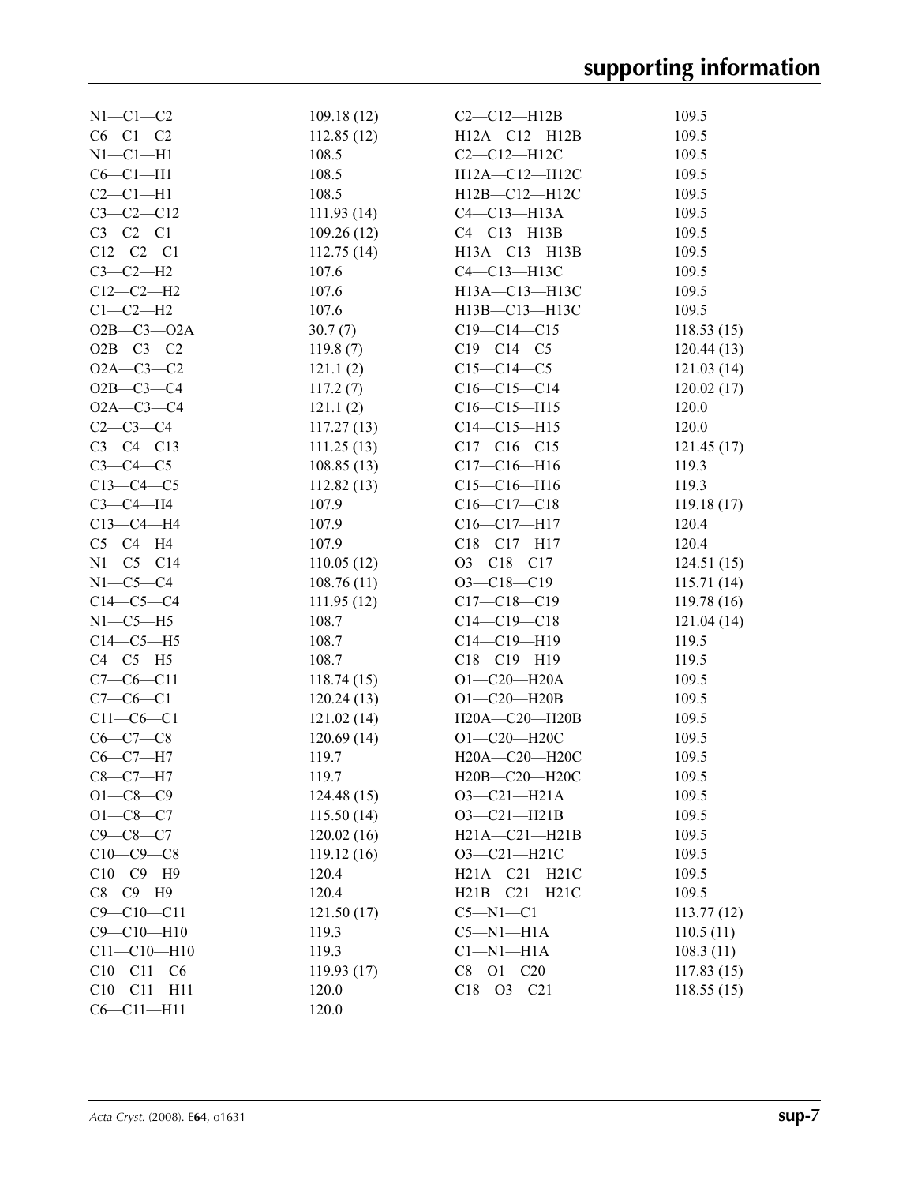| $N1-C1-C2$        | 109.18(12)  | $C2-C12-H12B$       | 109.5      |
|-------------------|-------------|---------------------|------------|
| $C6-C1-C2$        | 112.85(12)  | $H12A - C12 - H12B$ | 109.5      |
| $N1 - C1 - H1$    | 108.5       | $C2-C12-H12C$       | 109.5      |
| $C6-C1-H1$        | 108.5       | H12A-C12-H12C       | 109.5      |
| $C2-C1-H1$        | 108.5       | $H12B - C12 - H12C$ | 109.5      |
| $C3 - C2 - C12$   | 111.93(14)  | $C4-C13-H13A$       | 109.5      |
| $C3-C2-C1$        | 109.26(12)  | $C4-C13-H13B$       | 109.5      |
| $C12-C2-C1$       | 112.75(14)  | $H13A - C13 - H13B$ | 109.5      |
| $C3-C2-H2$        | 107.6       | C4-C13-H13C         | 109.5      |
| $C12-C2-H2$       | 107.6       | H13A-C13-H13C       | 109.5      |
| $C1-C2-H2$        | 107.6       | H13B-C13-H13C       | 109.5      |
| $O2B - C3 - O2A$  | 30.7(7)     | $C19 - C14 - C15$   | 118.53(15) |
| $O2B - C3 - C2$   | 119.8(7)    | $C19 - C14 - C5$    | 120.44(13) |
| $O2A - C3 - C2$   | 121.1(2)    | $C15 - C14 - C5$    | 121.03(14) |
| $O2B - C3 - C4$   | 117.2(7)    | $C16 - C15 - C14$   | 120.02(17) |
| $O2A - C3 - C4$   | 121.1(2)    | $C16 - C15 - H15$   | 120.0      |
| $C2-C3-C4$        | 117.27(13)  | $C14 - C15 - H15$   | 120.0      |
| $C3-C4-C13$       | 111.25(13)  | $C17 - C16 - C15$   | 121.45(17) |
| $C3-C4-C5$        | 108.85(13)  | $C17 - C16 - H16$   | 119.3      |
| $C13-C4-C5$       | 112.82(13)  | $C15 - C16 - H16$   | 119.3      |
| $C3-C4-H4$        | 107.9       | $C16 - C17 - C18$   | 119.18(17) |
| $C13-C4-H4$       | 107.9       | C16-C17-H17         | 120.4      |
| $C5-C4-H4$        | 107.9       | $C18 - C17 - H17$   | 120.4      |
| $N1-C5-C14$       | 110.05(12)  | $O3 - C18 - C17$    | 124.51(15) |
| $N1-C5-C4$        | 108.76(11)  | $O3 - C18 - C19$    | 115.71(14) |
| $C14-C5-C4$       | 111.95(12)  | $C17 - C18 - C19$   | 119.78(16) |
| $N1-C5-H5$        | 108.7       | $C14 - C19 - C18$   | 121.04(14) |
| $C14-C5-H5$       | 108.7       | $C14 - C19 - H19$   | 119.5      |
| $C4-C5-H5$        | 108.7       | $C18 - C19 - H19$   | 119.5      |
| $C7-C6-C11$       | 118.74(15)  | $O1 - C20 - H20A$   | 109.5      |
| $C7-C6-C1$        | 120.24(13)  | $O1 - C20 - H20B$   | 109.5      |
| $C11-C6-C1$       | 121.02(14)  | H20A-C20-H20B       | 109.5      |
| $C6-C7-C8$        | 120.69(14)  | $O1 - C20 - H20C$   | 109.5      |
| $C6-C7-H7$        | 119.7       | H20A-C20-H20C       | 109.5      |
| $C8-C7-H7$        | 119.7       | H20B-C20-H20C       | 109.5      |
| $O1 - C8 - C9$    | 124.48 (15) | $O3 - C21 - H21A$   | 109.5      |
| $O1 - C8 - C7$    | 115.50(14)  | $O3 - C21 - H21B$   | 109.5      |
| $C9 - C8 - C7$    | 120.02(16)  | H21A-C21-H21B       | 109.5      |
| $C10-C9-C8$       | 119.12(16)  | $O3 - C21 - H21C$   | 109.5      |
| $C10-C9-H9$       | 120.4       | $H21A - C21 - H21C$ | 109.5      |
| $C8-C9-H9$        | 120.4       | $H21B - C21 - H21C$ | 109.5      |
| $C9 - C10 - C11$  | 121.50(17)  | $C5 - N1 - C1$      | 113.77(12) |
| $C9 - C10 - H10$  | 119.3       | $C5-M1-H1A$         | 110.5(11)  |
| $C11 - C10 - H10$ | 119.3       | $Cl-M1-H1A$         | 108.3(11)  |
| $C10-C11-C6$      | 119.93(17)  | $C8 - O1 - C20$     | 117.83(15) |
| $C10 - C11 - H11$ | 120.0       | $C18 - 03 - C21$    | 118.55(15) |
| $C6 - C11 - H11$  | 120.0       |                     |            |